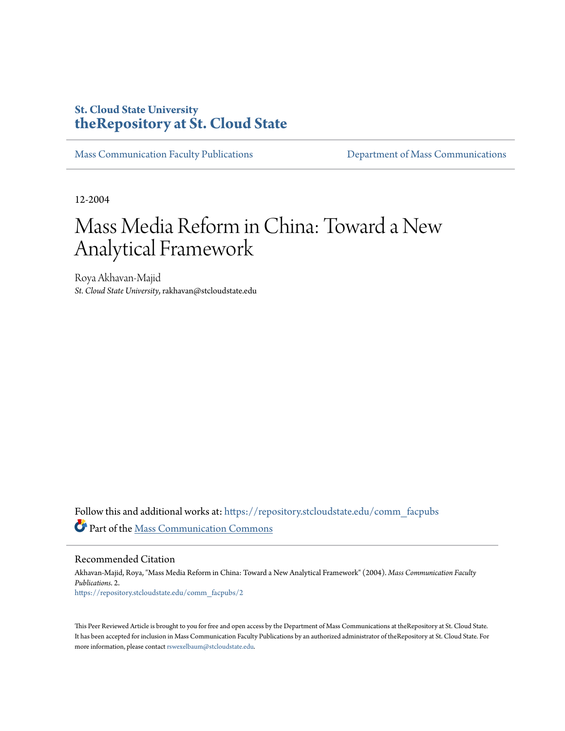# **St. Cloud State University [theRepository at St. Cloud State](https://repository.stcloudstate.edu?utm_source=repository.stcloudstate.edu%2Fcomm_facpubs%2F2&utm_medium=PDF&utm_campaign=PDFCoverPages)**

[Mass Communication Faculty Publications](https://repository.stcloudstate.edu/comm_facpubs?utm_source=repository.stcloudstate.edu%2Fcomm_facpubs%2F2&utm_medium=PDF&utm_campaign=PDFCoverPages) [Department of Mass Communications](https://repository.stcloudstate.edu/comm?utm_source=repository.stcloudstate.edu%2Fcomm_facpubs%2F2&utm_medium=PDF&utm_campaign=PDFCoverPages)

12-2004

# Mass Media Reform in China: Toward a New Analytical Framework

Roya Akhavan-Majid *St. Cloud State University*, rakhavan@stcloudstate.edu

Follow this and additional works at: [https://repository.stcloudstate.edu/comm\\_facpubs](https://repository.stcloudstate.edu/comm_facpubs?utm_source=repository.stcloudstate.edu%2Fcomm_facpubs%2F2&utm_medium=PDF&utm_campaign=PDFCoverPages) Part of the [Mass Communication Commons](http://network.bepress.com/hgg/discipline/334?utm_source=repository.stcloudstate.edu%2Fcomm_facpubs%2F2&utm_medium=PDF&utm_campaign=PDFCoverPages)

Recommended Citation

Akhavan-Majid, Roya, "Mass Media Reform in China: Toward a New Analytical Framework" (2004). *Mass Communication Faculty Publications*. 2. [https://repository.stcloudstate.edu/comm\\_facpubs/2](https://repository.stcloudstate.edu/comm_facpubs/2?utm_source=repository.stcloudstate.edu%2Fcomm_facpubs%2F2&utm_medium=PDF&utm_campaign=PDFCoverPages)

This Peer Reviewed Article is brought to you for free and open access by the Department of Mass Communications at theRepository at St. Cloud State. It has been accepted for inclusion in Mass Communication Faculty Publications by an authorized administrator of theRepository at St. Cloud State. For more information, please contact [rswexelbaum@stcloudstate.edu](mailto:rswexelbaum@stcloudstate.edu).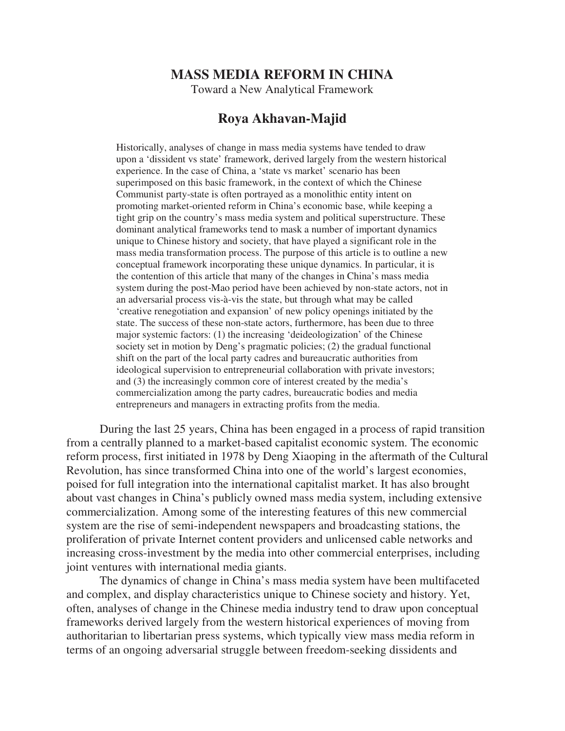## **MASS MEDIA REFORM IN CHINA**

Toward a New Analytical Framework

## **Roya Akhavan-Majid**

Historically, analyses of change in mass media systems have tended to draw upon a 'dissident vs state' framework, derived largely from the western historical experience. In the case of China, a 'state vs market' scenario has been superimposed on this basic framework, in the context of which the Chinese Communist party-state is often portrayed as a monolithic entity intent on promoting market-oriented reform in China's economic base, while keeping a tight grip on the country's mass media system and political superstructure. These dominant analytical frameworks tend to mask a number of important dynamics unique to Chinese history and society, that have played a significant role in the mass media transformation process. The purpose of this article is to outline a new conceptual framework incorporating these unique dynamics. In particular, it is the contention of this article that many of the changes in China's mass media system during the post-Mao period have been achieved by non-state actors, not in an adversarial process vis-à-vis the state, but through what may be called 'creative renegotiation and expansion' of new policy openings initiated by the state. The success of these non-state actors, furthermore, has been due to three major systemic factors: (1) the increasing 'deideologization' of the Chinese society set in motion by Deng's pragmatic policies; (2) the gradual functional shift on the part of the local party cadres and bureaucratic authorities from ideological supervision to entrepreneurial collaboration with private investors; and (3) the increasingly common core of interest created by the media's commercialization among the party cadres, bureaucratic bodies and media entrepreneurs and managers in extracting profits from the media.

During the last 25 years, China has been engaged in a process of rapid transition from a centrally planned to a market-based capitalist economic system. The economic reform process, first initiated in 1978 by Deng Xiaoping in the aftermath of the Cultural Revolution, has since transformed China into one of the world's largest economies, poised for full integration into the international capitalist market. It has also brought about vast changes in China's publicly owned mass media system, including extensive commercialization. Among some of the interesting features of this new commercial system are the rise of semi-independent newspapers and broadcasting stations, the proliferation of private Internet content providers and unlicensed cable networks and increasing cross-investment by the media into other commercial enterprises, including joint ventures with international media giants.

The dynamics of change in China's mass media system have been multifaceted and complex, and display characteristics unique to Chinese society and history. Yet, often, analyses of change in the Chinese media industry tend to draw upon conceptual frameworks derived largely from the western historical experiences of moving from authoritarian to libertarian press systems, which typically view mass media reform in terms of an ongoing adversarial struggle between freedom-seeking dissidents and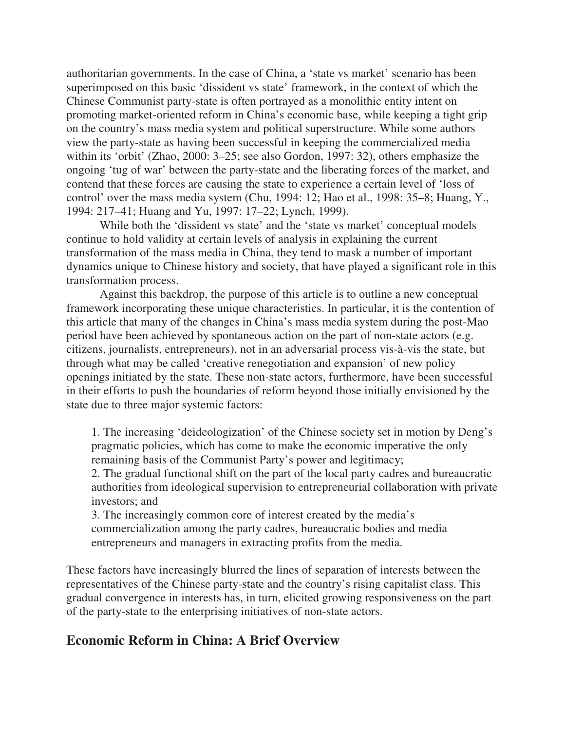authoritarian governments. In the case of China, a 'state vs market' scenario has been superimposed on this basic 'dissident vs state' framework, in the context of which the Chinese Communist party-state is often portrayed as a monolithic entity intent on promoting market-oriented reform in China's economic base, while keeping a tight grip on the country's mass media system and political superstructure. While some authors view the party-state as having been successful in keeping the commercialized media within its 'orbit' (Zhao, 2000: 3–25; see also Gordon, 1997: 32), others emphasize the ongoing 'tug of war' between the party-state and the liberating forces of the market, and contend that these forces are causing the state to experience a certain level of 'loss of control' over the mass media system (Chu, 1994: 12; Hao et al., 1998: 35–8; Huang, Y., 1994: 217–41; Huang and Yu, 1997: 17–22; Lynch, 1999).

While both the 'dissident vs state' and the 'state vs market' conceptual models continue to hold validity at certain levels of analysis in explaining the current transformation of the mass media in China, they tend to mask a number of important dynamics unique to Chinese history and society, that have played a significant role in this transformation process.

Against this backdrop, the purpose of this article is to outline a new conceptual framework incorporating these unique characteristics. In particular, it is the contention of this article that many of the changes in China's mass media system during the post-Mao period have been achieved by spontaneous action on the part of non-state actors (e.g. citizens, journalists, entrepreneurs), not in an adversarial process vis-à-vis the state, but through what may be called 'creative renegotiation and expansion' of new policy openings initiated by the state. These non-state actors, furthermore, have been successful in their efforts to push the boundaries of reform beyond those initially envisioned by the state due to three major systemic factors:

1. The increasing 'deideologization' of the Chinese society set in motion by Deng's pragmatic policies, which has come to make the economic imperative the only remaining basis of the Communist Party's power and legitimacy;

2. The gradual functional shift on the part of the local party cadres and bureaucratic authorities from ideological supervision to entrepreneurial collaboration with private investors; and

3. The increasingly common core of interest created by the media's commercialization among the party cadres, bureaucratic bodies and media entrepreneurs and managers in extracting profits from the media.

These factors have increasingly blurred the lines of separation of interests between the representatives of the Chinese party-state and the country's rising capitalist class. This gradual convergence in interests has, in turn, elicited growing responsiveness on the part of the party-state to the enterprising initiatives of non-state actors.

# **Economic Reform in China: A Brief Overview**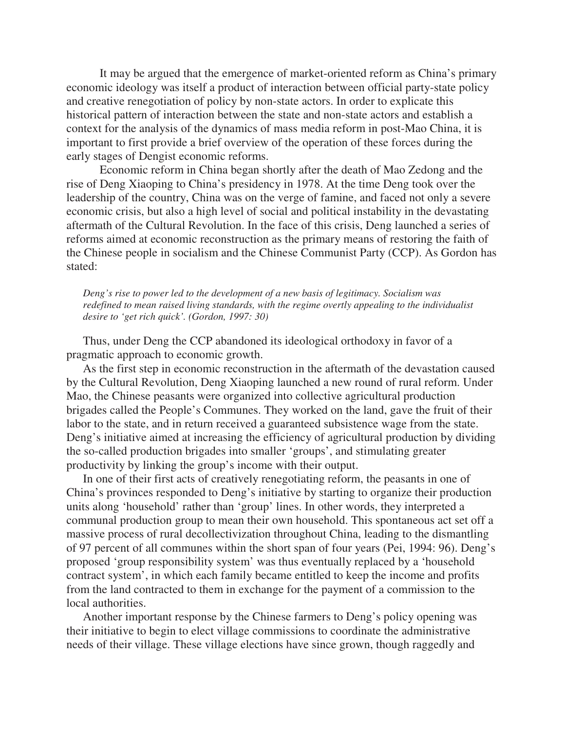It may be argued that the emergence of market-oriented reform as China's primary economic ideology was itself a product of interaction between official party-state policy and creative renegotiation of policy by non-state actors. In order to explicate this historical pattern of interaction between the state and non-state actors and establish a context for the analysis of the dynamics of mass media reform in post-Mao China, it is important to first provide a brief overview of the operation of these forces during the early stages of Dengist economic reforms.

Economic reform in China began shortly after the death of Mao Zedong and the rise of Deng Xiaoping to China's presidency in 1978. At the time Deng took over the leadership of the country, China was on the verge of famine, and faced not only a severe economic crisis, but also a high level of social and political instability in the devastating aftermath of the Cultural Revolution. In the face of this crisis, Deng launched a series of reforms aimed at economic reconstruction as the primary means of restoring the faith of the Chinese people in socialism and the Chinese Communist Party (CCP). As Gordon has stated:

*Deng's rise to power led to the development of a new basis of legitimacy. Socialism was redefined to mean raised living standards, with the regime overtly appealing to the individualist desire to 'get rich quick'. (Gordon, 1997: 30)* 

Thus, under Deng the CCP abandoned its ideological orthodoxy in favor of a pragmatic approach to economic growth.

As the first step in economic reconstruction in the aftermath of the devastation caused by the Cultural Revolution, Deng Xiaoping launched a new round of rural reform. Under Mao, the Chinese peasants were organized into collective agricultural production brigades called the People's Communes. They worked on the land, gave the fruit of their labor to the state, and in return received a guaranteed subsistence wage from the state. Deng's initiative aimed at increasing the efficiency of agricultural production by dividing the so-called production brigades into smaller 'groups', and stimulating greater productivity by linking the group's income with their output.

In one of their first acts of creatively renegotiating reform, the peasants in one of China's provinces responded to Deng's initiative by starting to organize their production units along 'household' rather than 'group' lines. In other words, they interpreted a communal production group to mean their own household. This spontaneous act set off a massive process of rural decollectivization throughout China, leading to the dismantling of 97 percent of all communes within the short span of four years (Pei, 1994: 96). Deng's proposed 'group responsibility system' was thus eventually replaced by a 'household contract system', in which each family became entitled to keep the income and profits from the land contracted to them in exchange for the payment of a commission to the local authorities.

Another important response by the Chinese farmers to Deng's policy opening was their initiative to begin to elect village commissions to coordinate the administrative needs of their village. These village elections have since grown, though raggedly and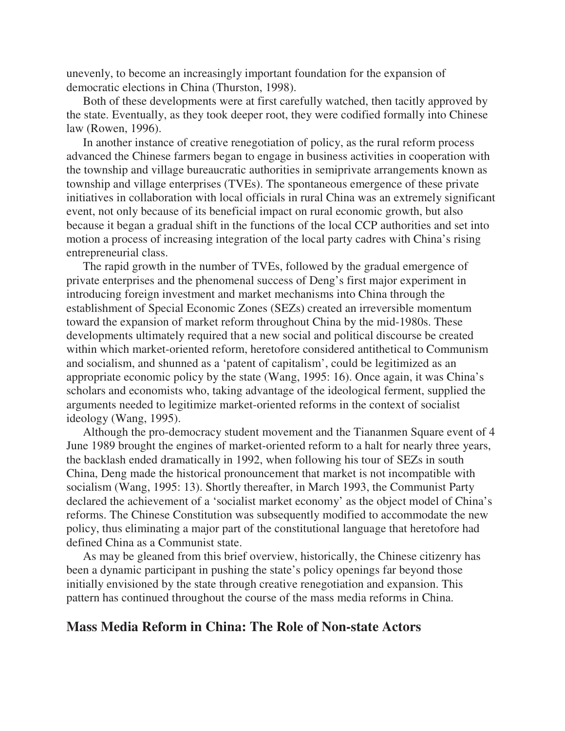unevenly, to become an increasingly important foundation for the expansion of democratic elections in China (Thurston, 1998).

Both of these developments were at first carefully watched, then tacitly approved by the state. Eventually, as they took deeper root, they were codified formally into Chinese law (Rowen, 1996).

In another instance of creative renegotiation of policy, as the rural reform process advanced the Chinese farmers began to engage in business activities in cooperation with the township and village bureaucratic authorities in semiprivate arrangements known as township and village enterprises (TVEs). The spontaneous emergence of these private initiatives in collaboration with local officials in rural China was an extremely significant event, not only because of its beneficial impact on rural economic growth, but also because it began a gradual shift in the functions of the local CCP authorities and set into motion a process of increasing integration of the local party cadres with China's rising entrepreneurial class.

The rapid growth in the number of TVEs, followed by the gradual emergence of private enterprises and the phenomenal success of Deng's first major experiment in introducing foreign investment and market mechanisms into China through the establishment of Special Economic Zones (SEZs) created an irreversible momentum toward the expansion of market reform throughout China by the mid-1980s. These developments ultimately required that a new social and political discourse be created within which market-oriented reform, heretofore considered antithetical to Communism and socialism, and shunned as a 'patent of capitalism', could be legitimized as an appropriate economic policy by the state (Wang, 1995: 16). Once again, it was China's scholars and economists who, taking advantage of the ideological ferment, supplied the arguments needed to legitimize market-oriented reforms in the context of socialist ideology (Wang, 1995).

Although the pro-democracy student movement and the Tiananmen Square event of 4 June 1989 brought the engines of market-oriented reform to a halt for nearly three years, the backlash ended dramatically in 1992, when following his tour of SEZs in south China, Deng made the historical pronouncement that market is not incompatible with socialism (Wang, 1995: 13). Shortly thereafter, in March 1993, the Communist Party declared the achievement of a 'socialist market economy' as the object model of China's reforms. The Chinese Constitution was subsequently modified to accommodate the new policy, thus eliminating a major part of the constitutional language that heretofore had defined China as a Communist state.

As may be gleaned from this brief overview, historically, the Chinese citizenry has been a dynamic participant in pushing the state's policy openings far beyond those initially envisioned by the state through creative renegotiation and expansion. This pattern has continued throughout the course of the mass media reforms in China.

### **Mass Media Reform in China: The Role of Non-state Actors**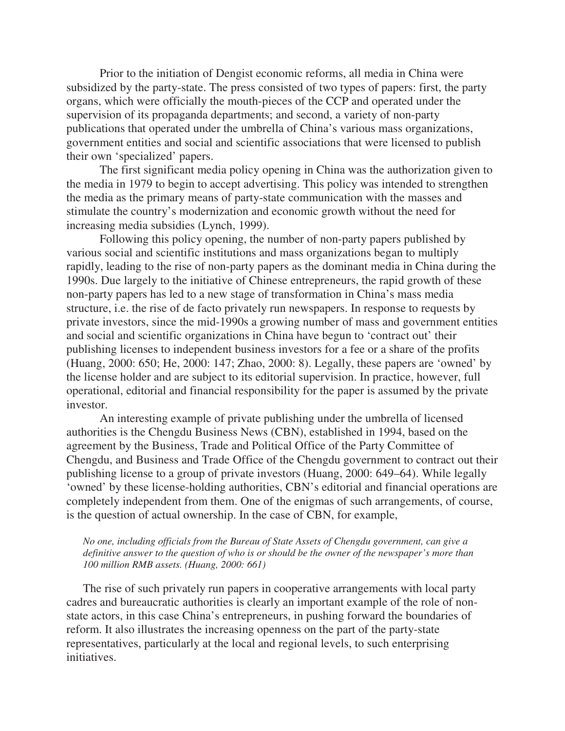Prior to the initiation of Dengist economic reforms, all media in China were subsidized by the party-state. The press consisted of two types of papers: first, the party organs, which were officially the mouth-pieces of the CCP and operated under the supervision of its propaganda departments; and second, a variety of non-party publications that operated under the umbrella of China's various mass organizations, government entities and social and scientific associations that were licensed to publish their own 'specialized' papers.

The first significant media policy opening in China was the authorization given to the media in 1979 to begin to accept advertising. This policy was intended to strengthen the media as the primary means of party-state communication with the masses and stimulate the country's modernization and economic growth without the need for increasing media subsidies (Lynch, 1999).

Following this policy opening, the number of non-party papers published by various social and scientific institutions and mass organizations began to multiply rapidly, leading to the rise of non-party papers as the dominant media in China during the 1990s. Due largely to the initiative of Chinese entrepreneurs, the rapid growth of these non-party papers has led to a new stage of transformation in China's mass media structure, i.e. the rise of de facto privately run newspapers. In response to requests by private investors, since the mid-1990s a growing number of mass and government entities and social and scientific organizations in China have begun to 'contract out' their publishing licenses to independent business investors for a fee or a share of the profits (Huang, 2000: 650; He, 2000: 147; Zhao, 2000: 8). Legally, these papers are 'owned' by the license holder and are subject to its editorial supervision. In practice, however, full operational, editorial and financial responsibility for the paper is assumed by the private investor.

An interesting example of private publishing under the umbrella of licensed authorities is the Chengdu Business News (CBN), established in 1994, based on the agreement by the Business, Trade and Political Office of the Party Committee of Chengdu, and Business and Trade Office of the Chengdu government to contract out their publishing license to a group of private investors (Huang, 2000: 649–64). While legally 'owned' by these license-holding authorities, CBN's editorial and financial operations are completely independent from them. One of the enigmas of such arrangements, of course, is the question of actual ownership. In the case of CBN, for example,

*No one, including officials from the Bureau of State Assets of Chengdu government, can give a definitive answer to the question of who is or should be the owner of the newspaper's more than 100 million RMB assets. (Huang, 2000: 661)* 

The rise of such privately run papers in cooperative arrangements with local party cadres and bureaucratic authorities is clearly an important example of the role of nonstate actors, in this case China's entrepreneurs, in pushing forward the boundaries of reform. It also illustrates the increasing openness on the part of the party-state representatives, particularly at the local and regional levels, to such enterprising initiatives.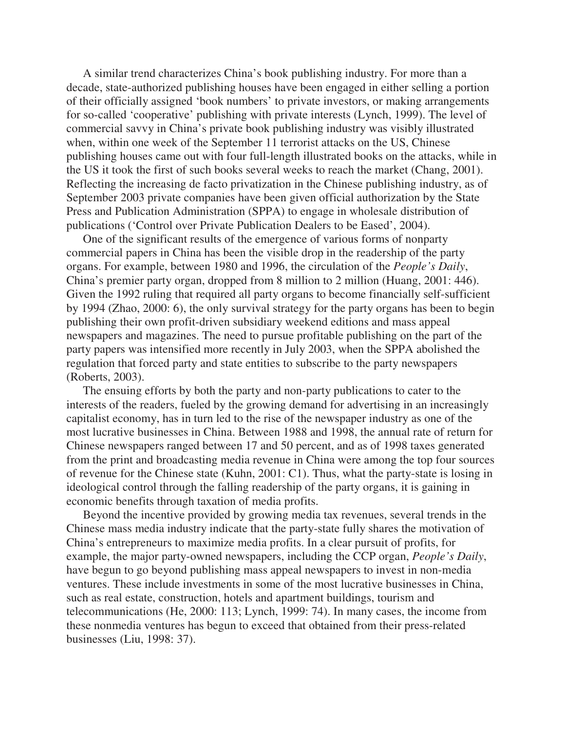A similar trend characterizes China's book publishing industry. For more than a decade, state-authorized publishing houses have been engaged in either selling a portion of their officially assigned 'book numbers' to private investors, or making arrangements for so-called 'cooperative' publishing with private interests (Lynch, 1999). The level of commercial savvy in China's private book publishing industry was visibly illustrated when, within one week of the September 11 terrorist attacks on the US, Chinese publishing houses came out with four full-length illustrated books on the attacks, while in the US it took the first of such books several weeks to reach the market (Chang, 2001). Reflecting the increasing de facto privatization in the Chinese publishing industry, as of September 2003 private companies have been given official authorization by the State Press and Publication Administration (SPPA) to engage in wholesale distribution of publications ('Control over Private Publication Dealers to be Eased', 2004).

One of the significant results of the emergence of various forms of nonparty commercial papers in China has been the visible drop in the readership of the party organs. For example, between 1980 and 1996, the circulation of the *People's Daily*, China's premier party organ, dropped from 8 million to 2 million (Huang, 2001: 446). Given the 1992 ruling that required all party organs to become financially self-sufficient by 1994 (Zhao, 2000: 6), the only survival strategy for the party organs has been to begin publishing their own profit-driven subsidiary weekend editions and mass appeal newspapers and magazines. The need to pursue profitable publishing on the part of the party papers was intensified more recently in July 2003, when the SPPA abolished the regulation that forced party and state entities to subscribe to the party newspapers (Roberts, 2003).

The ensuing efforts by both the party and non-party publications to cater to the interests of the readers, fueled by the growing demand for advertising in an increasingly capitalist economy, has in turn led to the rise of the newspaper industry as one of the most lucrative businesses in China. Between 1988 and 1998, the annual rate of return for Chinese newspapers ranged between 17 and 50 percent, and as of 1998 taxes generated from the print and broadcasting media revenue in China were among the top four sources of revenue for the Chinese state (Kuhn, 2001: C1). Thus, what the party-state is losing in ideological control through the falling readership of the party organs, it is gaining in economic benefits through taxation of media profits.

Beyond the incentive provided by growing media tax revenues, several trends in the Chinese mass media industry indicate that the party-state fully shares the motivation of China's entrepreneurs to maximize media profits. In a clear pursuit of profits, for example, the major party-owned newspapers, including the CCP organ, *People's Daily*, have begun to go beyond publishing mass appeal newspapers to invest in non-media ventures. These include investments in some of the most lucrative businesses in China, such as real estate, construction, hotels and apartment buildings, tourism and telecommunications (He, 2000: 113; Lynch, 1999: 74). In many cases, the income from these nonmedia ventures has begun to exceed that obtained from their press-related businesses (Liu, 1998: 37).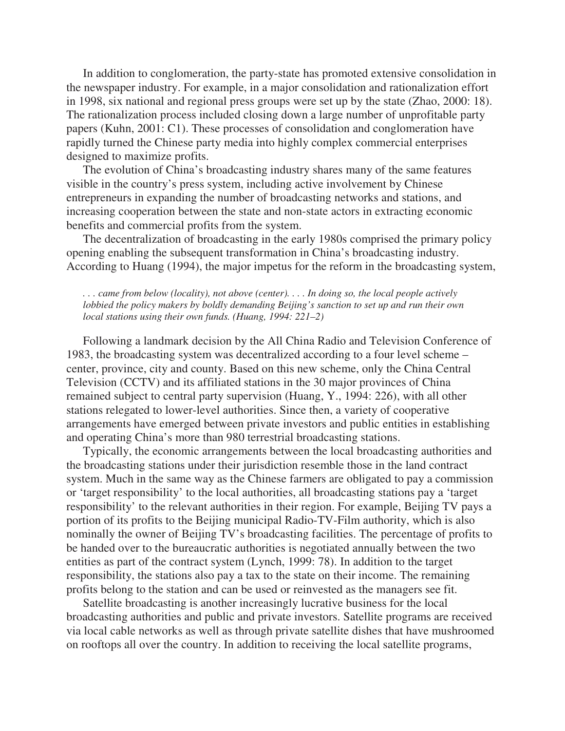In addition to conglomeration, the party-state has promoted extensive consolidation in the newspaper industry. For example, in a major consolidation and rationalization effort in 1998, six national and regional press groups were set up by the state (Zhao, 2000: 18). The rationalization process included closing down a large number of unprofitable party papers (Kuhn, 2001: C1). These processes of consolidation and conglomeration have rapidly turned the Chinese party media into highly complex commercial enterprises designed to maximize profits.

The evolution of China's broadcasting industry shares many of the same features visible in the country's press system, including active involvement by Chinese entrepreneurs in expanding the number of broadcasting networks and stations, and increasing cooperation between the state and non-state actors in extracting economic benefits and commercial profits from the system.

The decentralization of broadcasting in the early 1980s comprised the primary policy opening enabling the subsequent transformation in China's broadcasting industry. According to Huang (1994), the major impetus for the reform in the broadcasting system,

*. . . came from below (locality), not above (center). . . . In doing so, the local people actively lobbied the policy makers by boldly demanding Beijing's sanction to set up and run their own local stations using their own funds. (Huang, 1994: 221–2)* 

Following a landmark decision by the All China Radio and Television Conference of 1983, the broadcasting system was decentralized according to a four level scheme – center, province, city and county. Based on this new scheme, only the China Central Television (CCTV) and its affiliated stations in the 30 major provinces of China remained subject to central party supervision (Huang, Y., 1994: 226), with all other stations relegated to lower-level authorities. Since then, a variety of cooperative arrangements have emerged between private investors and public entities in establishing and operating China's more than 980 terrestrial broadcasting stations.

Typically, the economic arrangements between the local broadcasting authorities and the broadcasting stations under their jurisdiction resemble those in the land contract system. Much in the same way as the Chinese farmers are obligated to pay a commission or 'target responsibility' to the local authorities, all broadcasting stations pay a 'target responsibility' to the relevant authorities in their region. For example, Beijing TV pays a portion of its profits to the Beijing municipal Radio-TV-Film authority, which is also nominally the owner of Beijing TV's broadcasting facilities. The percentage of profits to be handed over to the bureaucratic authorities is negotiated annually between the two entities as part of the contract system (Lynch, 1999: 78). In addition to the target responsibility, the stations also pay a tax to the state on their income. The remaining profits belong to the station and can be used or reinvested as the managers see fit.

Satellite broadcasting is another increasingly lucrative business for the local broadcasting authorities and public and private investors. Satellite programs are received via local cable networks as well as through private satellite dishes that have mushroomed on rooftops all over the country. In addition to receiving the local satellite programs,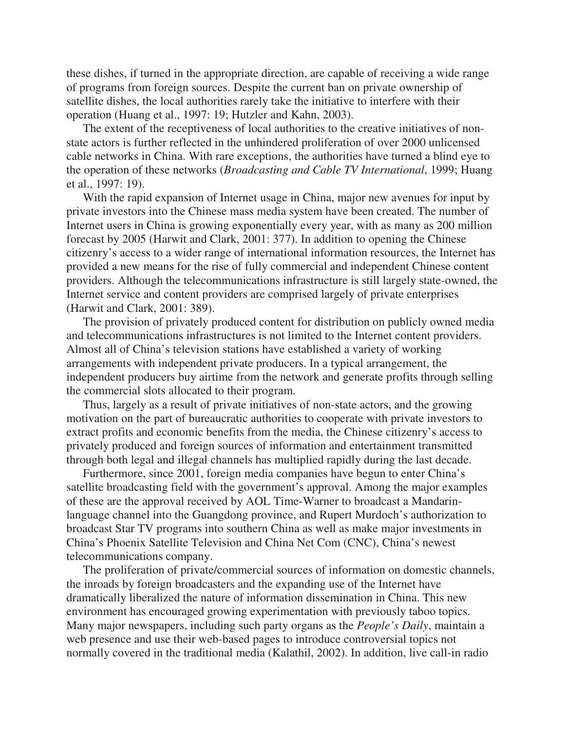these dishes, if turned in the appropriate direction, are capable of receiving a wide range of programs from foreign sources. Despite the current ban on private ownership of satellite dishes, the local authorities rarely take the initiative to interfere with their operation (Huang et al., 1997: 19; Hutzler and Kahn, 2003).

The extent of the receptiveness of local authorities to the creative initiatives of nonstate actors is further reflected in the unhindered proliferation of over 2000 unlicensed cable networks in China. With rare exceptions, the authorities have turned a blind eye to the operation of these networks (*Broadcasting and Cable TV International*, 1999; Huang et al., 1997: 19).

With the rapid expansion of Internet usage in China, major new avenues for input by private investors into the Chinese mass media system have been created. The number of Internet users in China is growing exponentially every year, with as many as 200 million forecast by 2005 (Harwit and Clark, 2001: 377). In addition to opening the Chinese citizenry's access to a wider range of international information resources, the Internet has provided a new means for the rise of fully commercial and independent Chinese content providers. Although the telecommunications infrastructure is still largely state-owned, the Internet service and content providers are comprised largely of private enterprises (Harwit and Clark, 2001: 389).

The provision of privately produced content for distribution on publicly owned media and telecommunications infrastructures is not limited to the Internet content providers. Almost all of China's television stations have established a variety of working arrangements with independent private producers. In a typical arrangement, the independent producers buy airtime from the network and generate profits through selling the commercial slots allocated to their program.

Thus, largely as a result of private initiatives of non-state actors, and the growing motivation on the part of bureaucratic authorities to cooperate with private investors to extract profits and economic benefits from the media, the Chinese citizenry's access to privately produced and foreign sources of information and entertainment transmitted through both legal and illegal channels has multiplied rapidly during the last decade.

Furthermore, since 2001, foreign media companies have begun to enter China's satellite broadcasting field with the government's approval. Among the major examples of these are the approval received by AOL Time-Warner to broadcast a Mandarinlanguage channel into the Guangdong province, and Rupert Murdoch's authorization to broadcast Star TV programs into southern China as well as make major investments in China's Phoenix Satellite Television and China Net Com (CNC), China's newest telecommunications company.

The proliferation of private/commercial sources of information on domestic channels, the inroads by foreign broadcasters and the expanding use of the Internet have dramatically liberalized the nature of information dissemination in China. This new environment has encouraged growing experimentation with previously taboo topics. Many major newspapers, including such party organs as the *People's Daily*, maintain a web presence and use their web-based pages to introduce controversial topics not normally covered in the traditional media (Kalathil, 2002). In addition, live call-in radio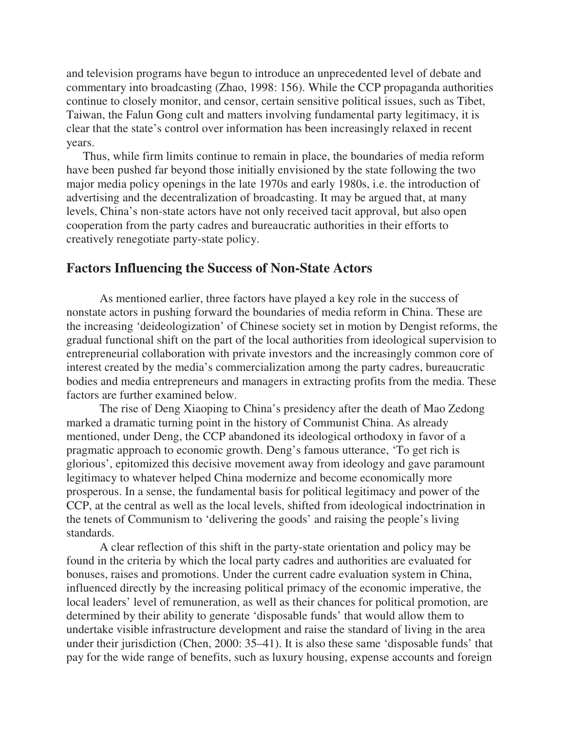and television programs have begun to introduce an unprecedented level of debate and commentary into broadcasting (Zhao, 1998: 156). While the CCP propaganda authorities continue to closely monitor, and censor, certain sensitive political issues, such as Tibet, Taiwan, the Falun Gong cult and matters involving fundamental party legitimacy, it is clear that the state's control over information has been increasingly relaxed in recent years.

Thus, while firm limits continue to remain in place, the boundaries of media reform have been pushed far beyond those initially envisioned by the state following the two major media policy openings in the late 1970s and early 1980s, i.e. the introduction of advertising and the decentralization of broadcasting. It may be argued that, at many levels, China's non-state actors have not only received tacit approval, but also open cooperation from the party cadres and bureaucratic authorities in their efforts to creatively renegotiate party-state policy.

#### **Factors Influencing the Success of Non-State Actors**

As mentioned earlier, three factors have played a key role in the success of nonstate actors in pushing forward the boundaries of media reform in China. These are the increasing 'deideologization' of Chinese society set in motion by Dengist reforms, the gradual functional shift on the part of the local authorities from ideological supervision to entrepreneurial collaboration with private investors and the increasingly common core of interest created by the media's commercialization among the party cadres, bureaucratic bodies and media entrepreneurs and managers in extracting profits from the media. These factors are further examined below.

The rise of Deng Xiaoping to China's presidency after the death of Mao Zedong marked a dramatic turning point in the history of Communist China. As already mentioned, under Deng, the CCP abandoned its ideological orthodoxy in favor of a pragmatic approach to economic growth. Deng's famous utterance, 'To get rich is glorious', epitomized this decisive movement away from ideology and gave paramount legitimacy to whatever helped China modernize and become economically more prosperous. In a sense, the fundamental basis for political legitimacy and power of the CCP, at the central as well as the local levels, shifted from ideological indoctrination in the tenets of Communism to 'delivering the goods' and raising the people's living standards.

A clear reflection of this shift in the party-state orientation and policy may be found in the criteria by which the local party cadres and authorities are evaluated for bonuses, raises and promotions. Under the current cadre evaluation system in China, influenced directly by the increasing political primacy of the economic imperative, the local leaders' level of remuneration, as well as their chances for political promotion, are determined by their ability to generate 'disposable funds' that would allow them to undertake visible infrastructure development and raise the standard of living in the area under their jurisdiction (Chen, 2000: 35–41). It is also these same 'disposable funds' that pay for the wide range of benefits, such as luxury housing, expense accounts and foreign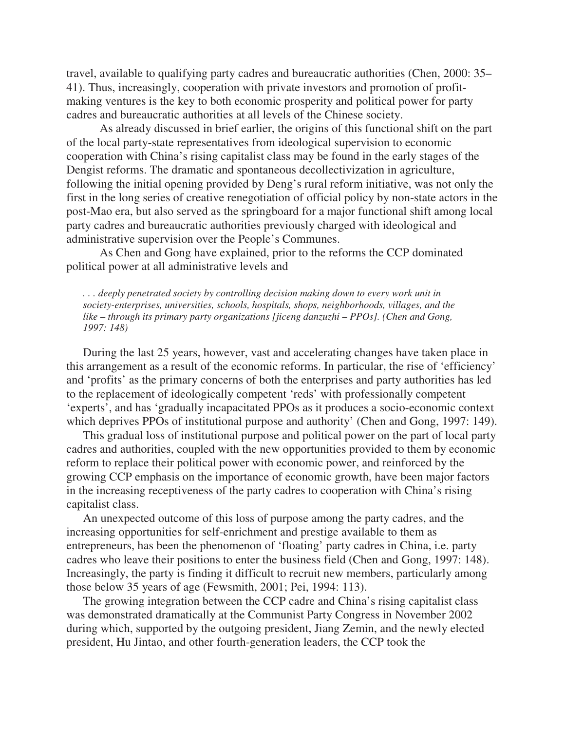travel, available to qualifying party cadres and bureaucratic authorities (Chen, 2000: 35– 41). Thus, increasingly, cooperation with private investors and promotion of profitmaking ventures is the key to both economic prosperity and political power for party cadres and bureaucratic authorities at all levels of the Chinese society.

As already discussed in brief earlier, the origins of this functional shift on the part of the local party-state representatives from ideological supervision to economic cooperation with China's rising capitalist class may be found in the early stages of the Dengist reforms. The dramatic and spontaneous decollectivization in agriculture, following the initial opening provided by Deng's rural reform initiative, was not only the first in the long series of creative renegotiation of official policy by non-state actors in the post-Mao era, but also served as the springboard for a major functional shift among local party cadres and bureaucratic authorities previously charged with ideological and administrative supervision over the People's Communes.

As Chen and Gong have explained, prior to the reforms the CCP dominated political power at all administrative levels and

*. . . deeply penetrated society by controlling decision making down to every work unit in society-enterprises, universities, schools, hospitals, shops, neighborhoods, villages, and the like – through its primary party organizations [jiceng danzuzhi – PPOs]. (Chen and Gong, 1997: 148)* 

During the last 25 years, however, vast and accelerating changes have taken place in this arrangement as a result of the economic reforms. In particular, the rise of 'efficiency' and 'profits' as the primary concerns of both the enterprises and party authorities has led to the replacement of ideologically competent 'reds' with professionally competent 'experts', and has 'gradually incapacitated PPOs as it produces a socio-economic context which deprives PPOs of institutional purpose and authority' (Chen and Gong, 1997: 149).

This gradual loss of institutional purpose and political power on the part of local party cadres and authorities, coupled with the new opportunities provided to them by economic reform to replace their political power with economic power, and reinforced by the growing CCP emphasis on the importance of economic growth, have been major factors in the increasing receptiveness of the party cadres to cooperation with China's rising capitalist class.

An unexpected outcome of this loss of purpose among the party cadres, and the increasing opportunities for self-enrichment and prestige available to them as entrepreneurs, has been the phenomenon of 'floating' party cadres in China, i.e. party cadres who leave their positions to enter the business field (Chen and Gong, 1997: 148). Increasingly, the party is finding it difficult to recruit new members, particularly among those below 35 years of age (Fewsmith, 2001; Pei, 1994: 113).

The growing integration between the CCP cadre and China's rising capitalist class was demonstrated dramatically at the Communist Party Congress in November 2002 during which, supported by the outgoing president, Jiang Zemin, and the newly elected president, Hu Jintao, and other fourth-generation leaders, the CCP took the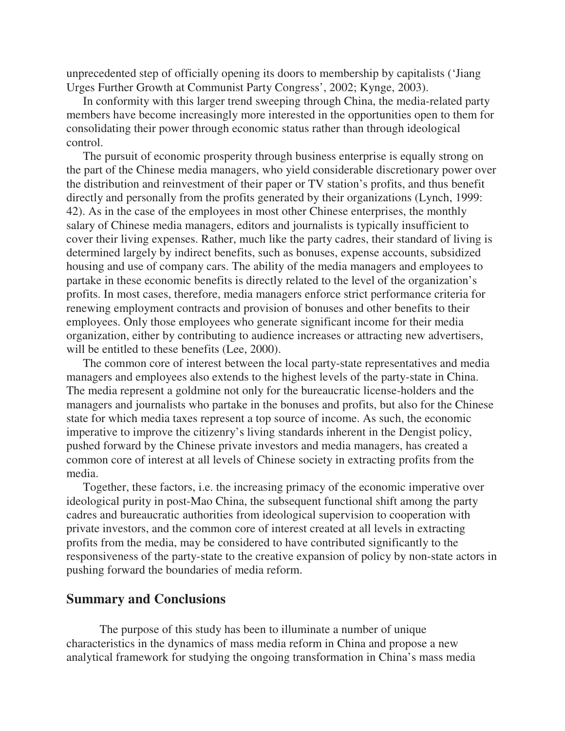unprecedented step of officially opening its doors to membership by capitalists ('Jiang Urges Further Growth at Communist Party Congress', 2002; Kynge, 2003).

In conformity with this larger trend sweeping through China, the media-related party members have become increasingly more interested in the opportunities open to them for consolidating their power through economic status rather than through ideological control.

The pursuit of economic prosperity through business enterprise is equally strong on the part of the Chinese media managers, who yield considerable discretionary power over the distribution and reinvestment of their paper or TV station's profits, and thus benefit directly and personally from the profits generated by their organizations (Lynch, 1999: 42). As in the case of the employees in most other Chinese enterprises, the monthly salary of Chinese media managers, editors and journalists is typically insufficient to cover their living expenses. Rather, much like the party cadres, their standard of living is determined largely by indirect benefits, such as bonuses, expense accounts, subsidized housing and use of company cars. The ability of the media managers and employees to partake in these economic benefits is directly related to the level of the organization's profits. In most cases, therefore, media managers enforce strict performance criteria for renewing employment contracts and provision of bonuses and other benefits to their employees. Only those employees who generate significant income for their media organization, either by contributing to audience increases or attracting new advertisers, will be entitled to these benefits (Lee, 2000).

The common core of interest between the local party-state representatives and media managers and employees also extends to the highest levels of the party-state in China. The media represent a goldmine not only for the bureaucratic license-holders and the managers and journalists who partake in the bonuses and profits, but also for the Chinese state for which media taxes represent a top source of income. As such, the economic imperative to improve the citizenry's living standards inherent in the Dengist policy, pushed forward by the Chinese private investors and media managers, has created a common core of interest at all levels of Chinese society in extracting profits from the media.

Together, these factors, i.e. the increasing primacy of the economic imperative over ideological purity in post-Mao China, the subsequent functional shift among the party cadres and bureaucratic authorities from ideological supervision to cooperation with private investors, and the common core of interest created at all levels in extracting profits from the media, may be considered to have contributed significantly to the responsiveness of the party-state to the creative expansion of policy by non-state actors in pushing forward the boundaries of media reform.

#### **Summary and Conclusions**

The purpose of this study has been to illuminate a number of unique characteristics in the dynamics of mass media reform in China and propose a new analytical framework for studying the ongoing transformation in China's mass media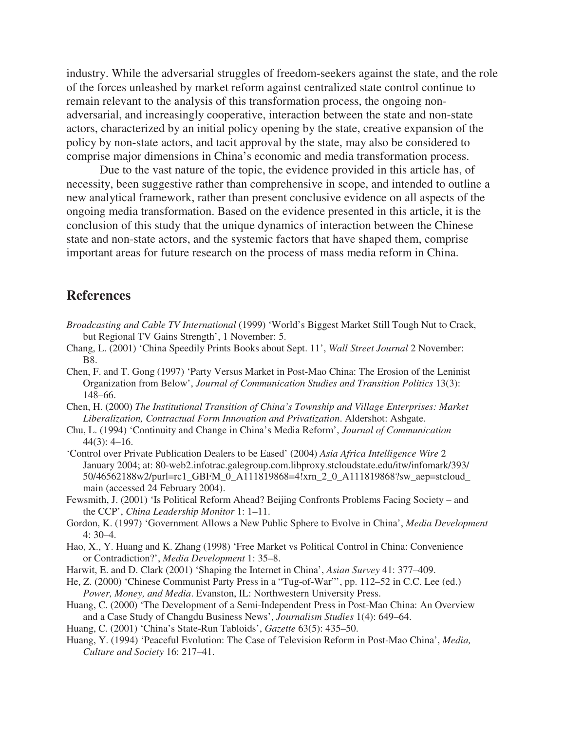industry. While the adversarial struggles of freedom-seekers against the state, and the role of the forces unleashed by market reform against centralized state control continue to remain relevant to the analysis of this transformation process, the ongoing nonadversarial, and increasingly cooperative, interaction between the state and non-state actors, characterized by an initial policy opening by the state, creative expansion of the policy by non-state actors, and tacit approval by the state, may also be considered to comprise major dimensions in China's economic and media transformation process.

Due to the vast nature of the topic, the evidence provided in this article has, of necessity, been suggestive rather than comprehensive in scope, and intended to outline a new analytical framework, rather than present conclusive evidence on all aspects of the ongoing media transformation. Based on the evidence presented in this article, it is the conclusion of this study that the unique dynamics of interaction between the Chinese state and non-state actors, and the systemic factors that have shaped them, comprise important areas for future research on the process of mass media reform in China.

#### **References**

- *Broadcasting and Cable TV International* (1999) 'World's Biggest Market Still Tough Nut to Crack, but Regional TV Gains Strength', 1 November: 5.
- Chang, L. (2001) 'China Speedily Prints Books about Sept. 11', *Wall Street Journal* 2 November: B8.
- Chen, F. and T. Gong (1997) 'Party Versus Market in Post-Mao China: The Erosion of the Leninist Organization from Below', *Journal of Communication Studies and Transition Politics* 13(3): 148–66.
- Chen, H. (2000) *The Institutional Transition of China's Township and Village Enterprises: Market Liberalization, Contractual Form Innovation and Privatization*. Aldershot: Ashgate.
- Chu, L. (1994) 'Continuity and Change in China's Media Reform', *Journal of Communication*   $44(3): 4-16.$
- 'Control over Private Publication Dealers to be Eased' (2004) *Asia Africa Intelligence Wire* 2 January 2004; at: 80-web2.infotrac.galegroup.com.libproxy.stcloudstate.edu/itw/infomark/393/ 50/46562188w2/purl=rc1\_GBFM\_0\_A111819868=4!xrn\_2\_0\_A111819868?sw\_aep=stcloud\_ main (accessed 24 February 2004).
- Fewsmith, J. (2001) 'Is Political Reform Ahead? Beijing Confronts Problems Facing Society and the CCP', *China Leadership Monitor* 1: 1–11.
- Gordon, K. (1997) 'Government Allows a New Public Sphere to Evolve in China', *Media Development*  4: 30–4.
- Hao, X., Y. Huang and K. Zhang (1998) 'Free Market vs Political Control in China: Convenience or Contradiction?', *Media Development* 1: 35–8.
- Harwit, E. and D. Clark (2001) 'Shaping the Internet in China', *Asian Survey* 41: 377–409.
- He, Z. (2000) 'Chinese Communist Party Press in a "Tug-of-War"', pp. 112–52 in C.C. Lee (ed.) *Power, Money, and Media*. Evanston, IL: Northwestern University Press.
- Huang, C. (2000) 'The Development of a Semi-Independent Press in Post-Mao China: An Overview and a Case Study of Changdu Business News', *Journalism Studies* 1(4): 649–64.
- Huang, C. (2001) 'China's State-Run Tabloids', *Gazette* 63(5): 435–50.
- Huang, Y. (1994) 'Peaceful Evolution: The Case of Television Reform in Post-Mao China', *Media, Culture and Society* 16: 217–41.